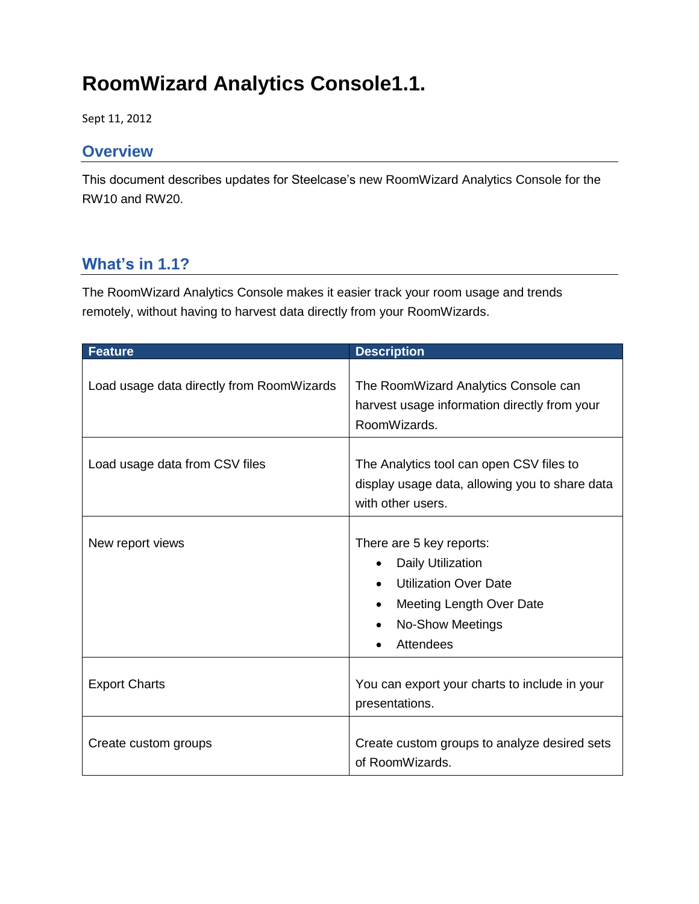# **RoomWizard Analytics Console1.1.**

Sept 11, 2012

#### **Overview**

This document describes updates for Steelcase's new RoomWizard Analytics Console for the RW10 and RW20.

## **What's in 1.1?**

The RoomWizard Analytics Console makes it easier track your room usage and trends remotely, without having to harvest data directly from your RoomWizards.

| <b>Feature</b>                            | <b>Description</b>                                                                                                                                                           |
|-------------------------------------------|------------------------------------------------------------------------------------------------------------------------------------------------------------------------------|
| Load usage data directly from RoomWizards | The RoomWizard Analytics Console can<br>harvest usage information directly from your<br>RoomWizards.                                                                         |
| Load usage data from CSV files            | The Analytics tool can open CSV files to<br>display usage data, allowing you to share data<br>with other users.                                                              |
| New report views                          | There are 5 key reports:<br><b>Daily Utilization</b><br><b>Utilization Over Date</b><br><b>Meeting Length Over Date</b><br>$\bullet$<br><b>No-Show Meetings</b><br>Attendees |
| <b>Export Charts</b>                      | You can export your charts to include in your<br>presentations.                                                                                                              |
| Create custom groups                      | Create custom groups to analyze desired sets<br>of RoomWizards.                                                                                                              |